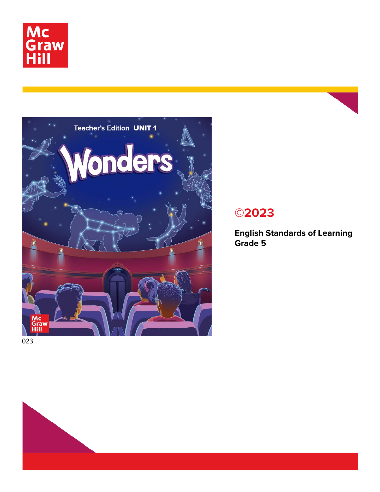



# **©2023**

**English Standards of Learning Grade 5**

023

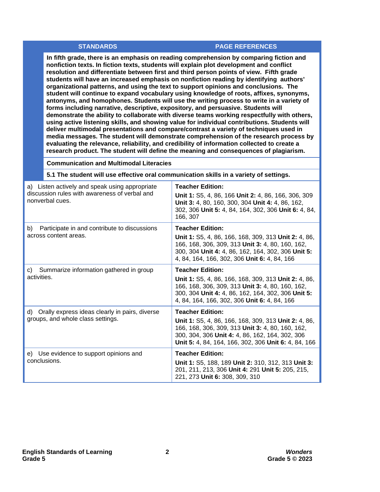#### **STANDARDS PAGE REFERENCES**

**In fifth grade, there is an emphasis on reading comprehension by comparing fiction and nonfiction texts. In fiction texts, students will explain plot development and conflict resolution and differentiate between first and third person points of view. Fifth grade students will have an increased emphasis on nonfiction reading by identifying authors' organizational patterns, and using the text to support opinions and conclusions. The student will continue to expand vocabulary using knowledge of roots, affixes, synonyms, antonyms, and homophones. Students will use the writing process to write in a variety of forms including narrative, descriptive, expository, and persuasive. Students will demonstrate the ability to collaborate with diverse teams working respectfully with others, using active listening skills, and showing value for individual contributions. Students will deliver multimodal presentations and compare/contrast a variety of techniques used in media messages. The student will demonstrate comprehension of the research process by evaluating the relevance, reliability, and credibility of information collected to create a research product. The student will define the meaning and consequences of plagiarism.**

**Communication and Multimodal Literacies**

### **5.1 The student will use effective oral communication skills in a variety of settings.**

| a) Listen actively and speak using appropriate<br>discussion rules with awareness of verbal and<br>nonverbal cues. | <b>Teacher Edition:</b><br>Unit 1: S5, 4, 86, 166 Unit 2: 4, 86, 166, 306, 309<br>Unit 3: 4, 80, 160, 300, 304 Unit 4: 4, 86, 162,<br>302, 306 Unit 5: 4, 84, 164, 302, 306 Unit 6: 4, 84,<br>166, 307                                         |
|--------------------------------------------------------------------------------------------------------------------|------------------------------------------------------------------------------------------------------------------------------------------------------------------------------------------------------------------------------------------------|
| Participate in and contribute to discussions<br>b)<br>across content areas.                                        | <b>Teacher Edition:</b><br>Unit 1: S5, 4, 86, 166, 168, 309, 313 Unit 2: 4, 86,<br>166, 168, 306, 309, 313 Unit 3: 4, 80, 160, 162,<br>300, 304 Unit 4: 4, 86, 162, 164, 302, 306 Unit 5:<br>4, 84, 164, 166, 302, 306 Unit 6: 4, 84, 166      |
| Summarize information gathered in group<br>C)<br>activities.                                                       | <b>Teacher Edition:</b><br>Unit 1: S5, 4, 86, 166, 168, 309, 313 Unit 2: 4, 86,<br>166, 168, 306, 309, 313 Unit 3: 4, 80, 160, 162,<br>300, 304 Unit 4: 4, 86, 162, 164, 302, 306 Unit 5:<br>4, 84, 164, 166, 302, 306 Unit 6: 4, 84, 166      |
| d) Orally express ideas clearly in pairs, diverse<br>groups, and whole class settings.                             | <b>Teacher Edition:</b><br>Unit 1: S5, 4, 86, 166, 168, 309, 313 Unit 2: 4, 86,<br>166, 168, 306, 309, 313 Unit 3: 4, 80, 160, 162,<br>300, 304, 306 Unit 4: 4, 86, 162, 164, 302, 306<br>Unit 5: 4, 84, 164, 166, 302, 306 Unit 6: 4, 84, 166 |
| e) Use evidence to support opinions and<br>conclusions.                                                            | <b>Teacher Edition:</b><br>Unit 1: S5, 188, 189 Unit 2: 310, 312, 313 Unit 3:<br>201, 211, 213, 306 Unit 4: 291 Unit 5: 205, 215,<br>221, 273 Unit 6: 308, 309, 310                                                                            |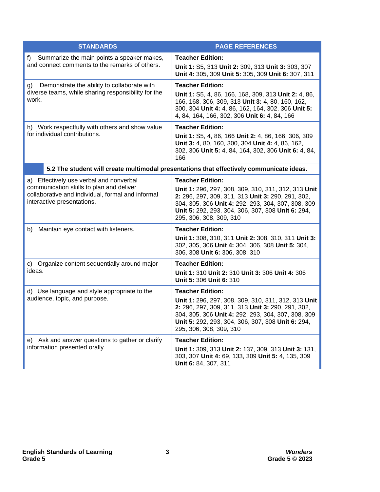| <b>STANDARDS</b>                                                                                                                                                       | <b>PAGE REFERENCES</b>                                                                                                                                                                                                                                                    |
|------------------------------------------------------------------------------------------------------------------------------------------------------------------------|---------------------------------------------------------------------------------------------------------------------------------------------------------------------------------------------------------------------------------------------------------------------------|
| Summarize the main points a speaker makes,<br>f)<br>and connect comments to the remarks of others.                                                                     | <b>Teacher Edition:</b><br>Unit 1: S5, 313 Unit 2: 309, 313 Unit 3: 303, 307<br>Unit 4: 305, 309 Unit 5: 305, 309 Unit 6: 307, 311                                                                                                                                        |
| Demonstrate the ability to collaborate with<br>g)<br>diverse teams, while sharing responsibility for the<br>work.                                                      | <b>Teacher Edition:</b><br>Unit 1: S5, 4, 86, 166, 168, 309, 313 Unit 2: 4, 86,<br>166, 168, 306, 309, 313 Unit 3: 4, 80, 160, 162,<br>300, 304 Unit 4: 4, 86, 162, 164, 302, 306 Unit 5:<br>4, 84, 164, 166, 302, 306 Unit 6: 4, 84, 166                                 |
| h) Work respectfully with others and show value<br>for individual contributions.                                                                                       | <b>Teacher Edition:</b><br>Unit 1: S5, 4, 86, 166 Unit 2: 4, 86, 166, 306, 309<br>Unit 3: 4, 80, 160, 300, 304 Unit 4: 4, 86, 162,<br>302, 306 Unit 5: 4, 84, 164, 302, 306 Unit 6: 4, 84,<br>166                                                                         |
|                                                                                                                                                                        | 5.2 The student will create multimodal presentations that effectively communicate ideas.                                                                                                                                                                                  |
| a) Effectively use verbal and nonverbal<br>communication skills to plan and deliver<br>collaborative and individual, formal and informal<br>interactive presentations. | <b>Teacher Edition:</b><br>Unit 1: 296, 297, 308, 309, 310, 311, 312, 313 Unit<br>2: 296, 297, 309, 311, 313 Unit 3: 290, 291, 302,<br>304, 305, 306 Unit 4: 292, 293, 304, 307, 308, 309<br>Unit 5: 292, 293, 304, 306, 307, 308 Unit 6: 294,<br>295, 306, 308, 309, 310 |
| Maintain eye contact with listeners.<br>b)                                                                                                                             | <b>Teacher Edition:</b><br>Unit 1: 308, 310, 311 Unit 2: 308, 310, 311 Unit 3:<br>302, 305, 306 Unit 4: 304, 306, 308 Unit 5: 304,<br>306, 308 Unit 6: 306, 308, 310                                                                                                      |
| c) Organize content sequentially around major<br>ideas.                                                                                                                | <b>Teacher Edition:</b><br>Unit 1: 310 Unit 2: 310 Unit 3: 306 Unit 4: 306<br>Unit 5: 306 Unit 6: 310                                                                                                                                                                     |
| d) Use language and style appropriate to the<br>audience, topic, and purpose.                                                                                          | <b>Teacher Edition:</b><br>Unit 1: 296, 297, 308, 309, 310, 311, 312, 313 Unit<br>2: 296, 297, 309, 311, 313 Unit 3: 290, 291, 302,<br>304, 305, 306 Unit 4: 292, 293, 304, 307, 308, 309<br>Unit 5: 292, 293, 304, 306, 307, 308 Unit 6: 294,<br>295, 306, 308, 309, 310 |
| e) Ask and answer questions to gather or clarify<br>information presented orally.                                                                                      | <b>Teacher Edition:</b><br>Unit 1: 309, 313 Unit 2: 137, 309, 313 Unit 3: 131,<br>303, 307 Unit 4: 69, 133, 309 Unit 5: 4, 135, 309<br>Unit 6: 84, 307, 311                                                                                                               |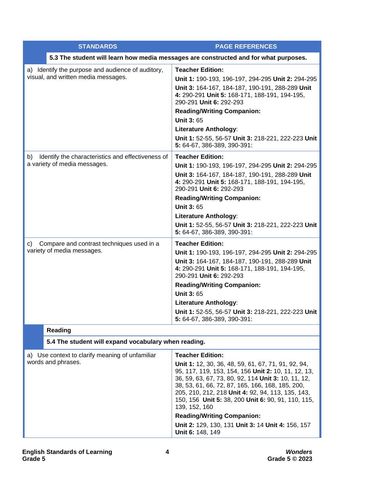| <b>STANDARDS</b>                                        | <b>PAGE REFERENCES</b>                                                                                                                                                                                                                                                                                                                            |  |  |
|---------------------------------------------------------|---------------------------------------------------------------------------------------------------------------------------------------------------------------------------------------------------------------------------------------------------------------------------------------------------------------------------------------------------|--|--|
|                                                         | 5.3 The student will learn how media messages are constructed and for what purposes.                                                                                                                                                                                                                                                              |  |  |
| a) Identify the purpose and audience of auditory,       | <b>Teacher Edition:</b>                                                                                                                                                                                                                                                                                                                           |  |  |
| visual, and written media messages.                     | Unit 1: 190-193, 196-197, 294-295 Unit 2: 294-295                                                                                                                                                                                                                                                                                                 |  |  |
|                                                         | Unit 3: 164-167, 184-187, 190-191, 288-289 Unit<br>4: 290-291 Unit 5: 168-171, 188-191, 194-195,<br>290-291 Unit 6: 292-293                                                                                                                                                                                                                       |  |  |
|                                                         | <b>Reading/Writing Companion:</b>                                                                                                                                                                                                                                                                                                                 |  |  |
|                                                         | <b>Unit 3: 65</b>                                                                                                                                                                                                                                                                                                                                 |  |  |
|                                                         | <b>Literature Anthology:</b>                                                                                                                                                                                                                                                                                                                      |  |  |
|                                                         | Unit 1: 52-55, 56-57 Unit 3: 218-221, 222-223 Unit<br>5: 64-67, 386-389, 390-391:                                                                                                                                                                                                                                                                 |  |  |
| Identify the characteristics and effectiveness of<br>b) | <b>Teacher Edition:</b>                                                                                                                                                                                                                                                                                                                           |  |  |
| a variety of media messages.                            | Unit 1: 190-193, 196-197, 294-295 Unit 2: 294-295                                                                                                                                                                                                                                                                                                 |  |  |
|                                                         | Unit 3: 164-167, 184-187, 190-191, 288-289 Unit<br>4: 290-291 Unit 5: 168-171, 188-191, 194-195,<br>290-291 Unit 6: 292-293                                                                                                                                                                                                                       |  |  |
|                                                         | <b>Reading/Writing Companion:</b>                                                                                                                                                                                                                                                                                                                 |  |  |
|                                                         | <b>Unit 3:65</b>                                                                                                                                                                                                                                                                                                                                  |  |  |
|                                                         | <b>Literature Anthology:</b>                                                                                                                                                                                                                                                                                                                      |  |  |
|                                                         | Unit 1: 52-55, 56-57 Unit 3: 218-221, 222-223 Unit<br>5: 64-67, 386-389, 390-391:                                                                                                                                                                                                                                                                 |  |  |
| Compare and contrast techniques used in a<br>C)         | <b>Teacher Edition:</b>                                                                                                                                                                                                                                                                                                                           |  |  |
| variety of media messages.                              | Unit 1: 190-193, 196-197, 294-295 Unit 2: 294-295                                                                                                                                                                                                                                                                                                 |  |  |
|                                                         | Unit 3: 164-167, 184-187, 190-191, 288-289 Unit<br>4: 290-291 Unit 5: 168-171, 188-191, 194-195,<br>290-291 Unit 6: 292-293                                                                                                                                                                                                                       |  |  |
|                                                         | <b>Reading/Writing Companion:</b>                                                                                                                                                                                                                                                                                                                 |  |  |
|                                                         | <b>Unit 3:65</b>                                                                                                                                                                                                                                                                                                                                  |  |  |
|                                                         | <b>Literature Anthology:</b>                                                                                                                                                                                                                                                                                                                      |  |  |
|                                                         | Unit 1: 52-55, 56-57 Unit 3: 218-221, 222-223 Unit<br>5: 64-67, 386-389, 390-391:                                                                                                                                                                                                                                                                 |  |  |
| Reading                                                 |                                                                                                                                                                                                                                                                                                                                                   |  |  |
| 5.4 The student will expand vocabulary when reading.    |                                                                                                                                                                                                                                                                                                                                                   |  |  |
| a) Use context to clarify meaning of unfamiliar         | <b>Teacher Edition:</b>                                                                                                                                                                                                                                                                                                                           |  |  |
| words and phrases.                                      | Unit 1: 12, 30, 36, 48, 59, 61, 67, 71, 91, 92, 94,<br>95, 117, 119, 153, 154, 156 Unit 2: 10, 11, 12, 13,<br>36, 59, 63, 67, 73, 80, 92, 114 Unit 3: 10, 11, 12,<br>38, 53, 61, 66, 72, 87, 165, 166, 168, 185, 200,<br>205, 210, 212, 218 Unit 4: 92, 94, 113, 135, 143,<br>150, 156 Unit 5: 38, 200 Unit 6: 90, 91, 110, 115,<br>139, 152, 160 |  |  |
|                                                         | <b>Reading/Writing Companion:</b>                                                                                                                                                                                                                                                                                                                 |  |  |
|                                                         | Unit 2: 129, 130, 131 Unit 3: 14 Unit 4: 156, 157<br>Unit 6: 148, 149                                                                                                                                                                                                                                                                             |  |  |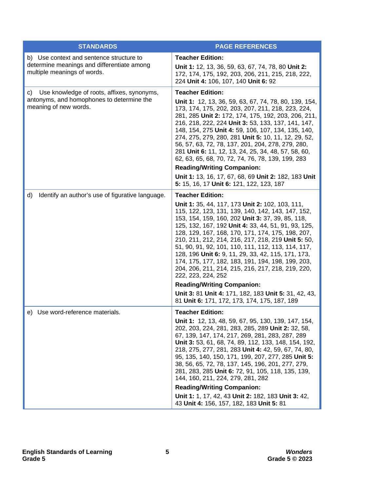| <b>STANDARDS</b>                                                                                                      | <b>PAGE REFERENCES</b>                                                                                                                                                                                                                                                                                                                                                                                                                                                                                                                                                                                                                                                    |
|-----------------------------------------------------------------------------------------------------------------------|---------------------------------------------------------------------------------------------------------------------------------------------------------------------------------------------------------------------------------------------------------------------------------------------------------------------------------------------------------------------------------------------------------------------------------------------------------------------------------------------------------------------------------------------------------------------------------------------------------------------------------------------------------------------------|
| b) Use context and sentence structure to<br>determine meanings and differentiate among<br>multiple meanings of words. | <b>Teacher Edition:</b><br>Unit 1: 12, 13, 36, 59, 63, 67, 74, 78, 80 Unit 2:<br>172, 174, 175, 192, 203, 206, 211, 215, 218, 222,<br>224 Unit 4: 106, 107, 140 Unit 6: 92                                                                                                                                                                                                                                                                                                                                                                                                                                                                                                |
| c) Use knowledge of roots, affixes, synonyms,<br>antonyms, and homophones to determine the<br>meaning of new words.   | <b>Teacher Edition:</b><br>Unit 1: 12, 13, 36, 59, 63, 67, 74, 78, 80, 139, 154,<br>173, 174, 175, 202, 203, 207, 211, 218, 223, 224,<br>281, 285 Unit 2: 172, 174, 175, 192, 203, 206, 211,<br>216, 218, 222, 224 Unit 3: 53, 133, 137, 141, 147,<br>148, 154, 275 Unit 4: 59, 106, 107, 134, 135, 140,<br>274, 275, 279, 280, 281 Unit 5: 10, 11, 12, 29, 52,<br>56, 57, 63, 72, 78, 137, 201, 204, 278, 279, 280,<br>281 Unit 6: 11, 12, 13, 24, 25, 34, 48, 57, 58, 60,<br>62, 63, 65, 68, 70, 72, 74, 76, 78, 139, 199, 283<br><b>Reading/Writing Companion:</b><br>Unit 1: 13, 16, 17, 67, 68, 69 Unit 2: 182, 183 Unit<br>5: 15, 16, 17 Unit 6: 121, 122, 123, 187 |
| d)<br>Identify an author's use of figurative language.                                                                | <b>Teacher Edition:</b>                                                                                                                                                                                                                                                                                                                                                                                                                                                                                                                                                                                                                                                   |
|                                                                                                                       | Unit 1: 35, 44, 117, 173 Unit 2: 102, 103, 111,<br>115, 122, 123, 131, 139, 140, 142, 143, 147, 152,<br>153, 154, 159, 160, 202 Unit 3: 37, 39, 85, 118,<br>125, 132, 167, 192 Unit 4: 33, 44, 51, 91, 93, 125,<br>128, 129, 167, 168, 170, 171, 174, 175, 198, 207,<br>210, 211, 212, 214, 216, 217, 218, 219 Unit 5: 50,<br>51, 90, 91, 92, 101, 110, 111, 112, 113, 114, 117,<br>128, 196 Unit 6: 9, 11, 29, 33, 42, 115, 171, 173,<br>174, 175, 177, 182, 183, 191, 194, 198, 199, 203,<br>204, 206, 211, 214, 215, 216, 217, 218, 219, 220,<br>222, 223, 224, 252                                                                                                    |
|                                                                                                                       | <b>Reading/Writing Companion:</b>                                                                                                                                                                                                                                                                                                                                                                                                                                                                                                                                                                                                                                         |
|                                                                                                                       | Unit 3: 81 Unit 4: 171, 182, 183 Unit 5: 31, 42, 43,<br>81 Unit 6: 171, 172, 173, 174, 175, 187, 189                                                                                                                                                                                                                                                                                                                                                                                                                                                                                                                                                                      |
| e) Use word-reference materials.                                                                                      | <b>Teacher Edition:</b>                                                                                                                                                                                                                                                                                                                                                                                                                                                                                                                                                                                                                                                   |
|                                                                                                                       | Unit 1: 12, 13, 48, 59, 67, 95, 130, 139, 147, 154,<br>202, 203, 224, 281, 283, 285, 289 Unit 2: 32, 58,<br>67, 139, 147, 174, 217, 269, 281, 283, 287, 289<br>Unit 3: 53, 61, 68, 74, 89, 112, 133, 148, 154, 192,<br>218, 275, 277, 281, 283 Unit 4: 42, 59, 67, 74, 80,<br>95, 135, 140, 150, 171, 199, 207, 277, 285 Unit 5:<br>38, 56, 65, 72, 78, 137, 145, 196, 201, 277, 279,<br>281, 283, 285 Unit 6: 72, 91, 105, 118, 135, 139,<br>144, 160, 211, 224, 279, 281, 282                                                                                                                                                                                           |
|                                                                                                                       | <b>Reading/Writing Companion:</b>                                                                                                                                                                                                                                                                                                                                                                                                                                                                                                                                                                                                                                         |
|                                                                                                                       | Unit 1: 1, 17, 42, 43 Unit 2: 182, 183 Unit 3: 42,<br>43 Unit 4: 156, 157, 182, 183 Unit 5: 81                                                                                                                                                                                                                                                                                                                                                                                                                                                                                                                                                                            |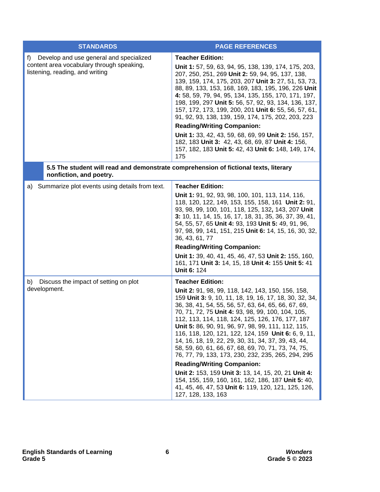| <b>STANDARDS</b>                                                                                                              | <b>PAGE REFERENCES</b>                                                                                                                                                                                                                                                                                                                                                                                                                                                                                                                                                                                                                                                                                                                                                                                                        |
|-------------------------------------------------------------------------------------------------------------------------------|-------------------------------------------------------------------------------------------------------------------------------------------------------------------------------------------------------------------------------------------------------------------------------------------------------------------------------------------------------------------------------------------------------------------------------------------------------------------------------------------------------------------------------------------------------------------------------------------------------------------------------------------------------------------------------------------------------------------------------------------------------------------------------------------------------------------------------|
| f)<br>Develop and use general and specialized<br>content area vocabulary through speaking,<br>listening, reading, and writing | <b>Teacher Edition:</b><br>Unit 1: 57, 59, 63, 94, 95, 138, 139, 174, 175, 203,<br>207, 250, 251, 269 Unit 2: 59, 94, 95, 137, 138,<br>139, 159, 174, 175, 203, 207 Unit 3: 27, 51, 53, 73,<br>88, 89, 133, 153, 168, 169, 183, 195, 196, 226 Unit<br>4: 58, 59, 79, 94, 95, 134, 135, 155, 170, 171, 197,<br>198, 199, 297 Unit 5: 56, 57, 92, 93, 134, 136, 137,<br>157, 172, 173, 199, 200, 201 Unit 6: 55, 56, 57, 61,<br>91, 92, 93, 138, 139, 159, 174, 175, 202, 203, 223<br><b>Reading/Writing Companion:</b><br>Unit 1: 33, 42, 43, 59, 68, 69, 99 Unit 2: 156, 157,<br>182, 183 Unit 3: 42, 43, 68, 69, 87 Unit 4: 156,<br>157, 182, 183 Unit 5: 42, 43 Unit 6: 148, 149, 174,<br>175                                                                                                                               |
| 5.5 The student will read and demonstrate comprehension of fictional texts, literary<br>nonfiction, and poetry.               |                                                                                                                                                                                                                                                                                                                                                                                                                                                                                                                                                                                                                                                                                                                                                                                                                               |
| Summarize plot events using details from text.<br>a)                                                                          | <b>Teacher Edition:</b><br>Unit 1: 91, 92, 93, 98, 100, 101, 113, 114, 116,<br>118, 120, 122, 149, 153, 155, 158, 161 Unit 2: 91,<br>93, 98, 99, 100, 101, 118, 125, 132, 143, 207 Unit<br>3: 10, 11, 14, 15, 16, 17, 18, 31, 35, 36, 37, 39, 41,<br>54, 55, 57, 65 Unit 4: 93, 193 Unit 5: 49, 91, 96,<br>97, 98, 99, 141, 151, 215 Unit 6: 14, 15, 16, 30, 32,<br>36, 43, 61, 77<br><b>Reading/Writing Companion:</b><br>Unit 1: 39, 40, 41, 45, 46, 47, 53 Unit 2: 155, 160,<br>161, 171 Unit 3: 14, 15, 18 Unit 4: 155 Unit 5: 41<br><b>Unit 6: 124</b>                                                                                                                                                                                                                                                                   |
| Discuss the impact of setting on plot<br>b)<br>development.                                                                   | <b>Teacher Edition:</b><br>Unit 2: 91, 98, 99, 118, 142, 143, 150, 156, 158,<br>159 Unit 3: 9, 10, 11, 18, 19, 16, 17, 18, 30, 32, 34,<br>36, 38, 41, 54, 55, 56, 57, 63, 64, 65, 66, 67, 69,<br>70, 71, 72, 75 Unit 4: 93, 98, 99, 100, 104, 105,<br>112, 113, 114, 118, 124, 125, 126, 176, 177, 187<br><b>Unit 5:</b> 86, 90, 91, 96, 97, 98, 99, 111, 112, 115,<br>116, 118, 120, 121, 122, 124, 159 Unit 6: 6, 9, 11,<br>14, 16, 18, 19, 22, 29, 30, 31, 34, 37, 39, 43, 44,<br>58, 59, 60, 61, 66, 67, 68, 69, 70, 71, 73, 74, 75,<br>76, 77, 79, 133, 173, 230, 232, 235, 265, 294, 295<br><b>Reading/Writing Companion:</b><br>Unit 2: 153, 159 Unit 3: 13, 14, 15, 20, 21 Unit 4:<br>154, 155, 159, 160, 161, 162, 186, 187 Unit 5: 40,<br>41, 45, 46, 47, 53 Unit 6: 119, 120, 121, 125, 126,<br>127, 128, 133, 163 |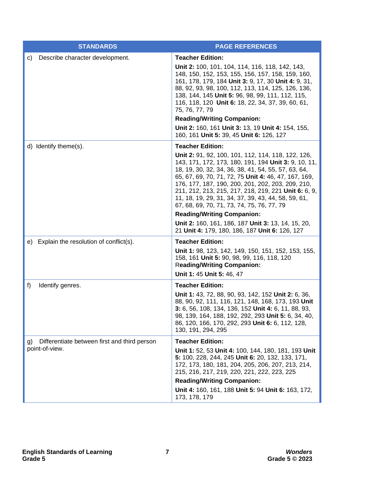| <b>STANDARDS</b>                                                     | <b>PAGE REFERENCES</b>                                                                                                                                                                                                                                                                                                                                                                                                                                                                                                                                                                                              |
|----------------------------------------------------------------------|---------------------------------------------------------------------------------------------------------------------------------------------------------------------------------------------------------------------------------------------------------------------------------------------------------------------------------------------------------------------------------------------------------------------------------------------------------------------------------------------------------------------------------------------------------------------------------------------------------------------|
| Describe character development.<br>C)                                | <b>Teacher Edition:</b><br>Unit 2: 100, 101, 104, 114, 116, 118, 142, 143,<br>148, 150, 152, 153, 155, 156, 157, 158, 159, 160,<br>161, 178, 179, 184 Unit 3: 9, 17, 30 Unit 4: 9, 31,<br>88, 92, 93, 98, 100, 112, 113, 114, 125, 126, 136,<br>138, 144, 145 Unit 5: 96, 98, 99, 111, 112, 115,<br>116, 118, 120 Unit 6: 18, 22, 34, 37, 39, 60, 61,<br>75, 76, 77, 79<br><b>Reading/Writing Companion:</b><br>Unit 2: 160, 161 Unit 3: 13, 19 Unit 4: 154, 155,<br>160, 161 Unit 5: 39, 45 Unit 6: 126, 127                                                                                                       |
| d) Identify theme(s).                                                | <b>Teacher Edition:</b><br>Unit 2: 91, 92, 100, 101, 112, 114, 118, 122, 126,<br>143, 171, 172, 173, 180, 191, 194 Unit 3: 9, 10, 11,<br>18, 19, 30, 32, 34, 36, 38, 41, 54, 55, 57, 63, 64,<br>65, 67, 69, 70, 71, 72, 75 Unit 4: 46, 47, 167, 169,<br>176, 177, 187, 190, 200, 201, 202, 203, 209, 210,<br>211, 212, 213, 215, 217, 218, 219, 221 Unit 6: 6, 9,<br>11, 18, 19, 29, 31, 34, 37, 39, 43, 44, 58, 59, 61,<br>67, 68, 69, 70, 71, 73, 74, 75, 76, 77, 79<br><b>Reading/Writing Companion:</b><br>Unit 2: 160, 161, 186, 187 Unit 3: 13, 14, 15, 20,<br>21 Unit 4: 179, 180, 186, 187 Unit 6: 126, 127 |
| e) Explain the resolution of conflict(s).                            | <b>Teacher Edition:</b><br>Unit 1: 98, 123, 142, 149, 150, 151, 152, 153, 155,<br>158, 161 Unit 5: 90, 98, 99, 116, 118, 120<br><b>Reading/Writing Companion:</b><br>Unit 1: 45 Unit 5: 46, 47                                                                                                                                                                                                                                                                                                                                                                                                                      |
| Identify genres.<br>f)                                               | <b>Teacher Edition:</b><br>Unit 1: 43, 72, 88, 90, 93, 142, 152 Unit 2: 6, 36,<br>88, 90, 92, 111, 116, 121, 148, 168, 173, 193 Unit<br>3: 6, 56, 108, 134, 136, 152 Unit 4: 6, 11, 88, 93,<br>98, 139, 164, 188, 192, 292, 293 Unit 5: 6, 34, 40,<br>86, 120, 166, 170, 292, 293 Unit 6: 6, 112, 128,<br>130, 191, 294, 295                                                                                                                                                                                                                                                                                        |
| Differentiate between first and third person<br>g)<br>point-of-view. | <b>Teacher Edition:</b><br>Unit 1: 52, 53 Unit 4: 100, 144, 180, 181, 193 Unit<br>5: 100, 228, 244, 245 Unit 6: 20, 132, 133, 171,<br>172, 173, 180, 181, 204, 205, 206, 207, 213, 214,<br>215, 216, 217, 219, 220, 221, 222, 223, 225<br><b>Reading/Writing Companion:</b><br>Unit 4: 160, 161, 188 Unit 5: 94 Unit 6: 163, 172,<br>173, 178, 179                                                                                                                                                                                                                                                                  |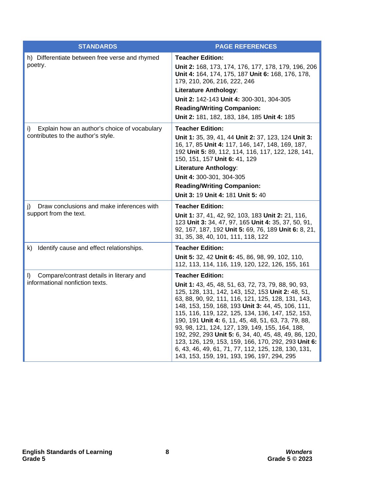| <b>STANDARDS</b>                                                                         | <b>PAGE REFERENCES</b>                                                                                                                                                                                                                                                                                                                                                                                                                                                                                                                                                                                                              |
|------------------------------------------------------------------------------------------|-------------------------------------------------------------------------------------------------------------------------------------------------------------------------------------------------------------------------------------------------------------------------------------------------------------------------------------------------------------------------------------------------------------------------------------------------------------------------------------------------------------------------------------------------------------------------------------------------------------------------------------|
| h) Differentiate between free verse and rhymed<br>poetry.                                | <b>Teacher Edition:</b><br>Unit 2: 168, 173, 174, 176, 177, 178, 179, 196, 206<br>Unit 4: 164, 174, 175, 187 Unit 6: 168, 176, 178,<br>179, 210, 206, 216, 222, 246<br><b>Literature Anthology:</b><br>Unit 2: 142-143 Unit 4: 300-301, 304-305<br><b>Reading/Writing Companion:</b><br>Unit 2: 181, 182, 183, 184, 185 Unit 4: 185                                                                                                                                                                                                                                                                                                 |
| Explain how an author's choice of vocabulary<br>i)<br>contributes to the author's style. | <b>Teacher Edition:</b><br>Unit 1: 35, 39, 41, 44 Unit 2: 37, 123, 124 Unit 3:<br>16, 17, 85 Unit 4: 117, 146, 147, 148, 169, 187,<br>192 Unit 5: 89, 112, 114, 116, 117, 122, 128, 141,<br>150, 151, 157 Unit 6: 41, 129<br><b>Literature Anthology:</b><br>Unit 4: 300-301, 304-305<br><b>Reading/Writing Companion:</b><br><b>Unit 3: 19 Unit 4: 181 Unit 5: 40</b>                                                                                                                                                                                                                                                              |
| Draw conclusions and make inferences with<br>I)<br>support from the text.                | <b>Teacher Edition:</b><br>Unit 1: 37, 41, 42, 92, 103, 183 Unit 2: 21, 116,<br>123 Unit 3: 34, 47, 97, 165 Unit 4: 35, 37, 50, 91,<br>92, 167, 187, 192 Unit 5: 69, 76, 189 Unit 6: 8, 21,<br>31, 35, 38, 40, 101, 111, 118, 122                                                                                                                                                                                                                                                                                                                                                                                                   |
| Identify cause and effect relationships.<br>k)                                           | <b>Teacher Edition:</b><br>Unit 5: 32, 42 Unit 6: 45, 86, 98, 99, 102, 110,<br>112, 113, 114, 116, 119, 120, 122, 126, 155, 161                                                                                                                                                                                                                                                                                                                                                                                                                                                                                                     |
| Compare/contrast details in literary and<br>I)<br>informational nonfiction texts.        | <b>Teacher Edition:</b><br>Unit 1: 43, 45, 48, 51, 63, 72, 73, 79, 88, 90, 93,<br>125, 128, 131, 142, 143, 152, 153 Unit 2: 48, 51,<br>63, 88, 90, 92, 111, 116, 121, 125, 128, 131, 143,<br>148, 153, 159, 168, 193 Unit 3: 44, 45, 106, 111,<br>115, 116, 119, 122, 125, 134, 136, 147, 152, 153,<br>190, 191 Unit 4: 6, 11, 45, 48, 51, 63, 73, 79, 88,<br>93, 98, 121, 124, 127, 139, 149, 155, 164, 188,<br>192, 292, 293 Unit 5: 6, 34, 40, 45, 48, 49, 86, 120,<br>123, 126, 129, 153, 159, 166, 170, 292, 293 Unit 6:<br>6, 43, 46, 49, 61, 71, 77, 112, 125, 128, 130, 131,<br>143, 153, 159, 191, 193, 196, 197, 294, 295 |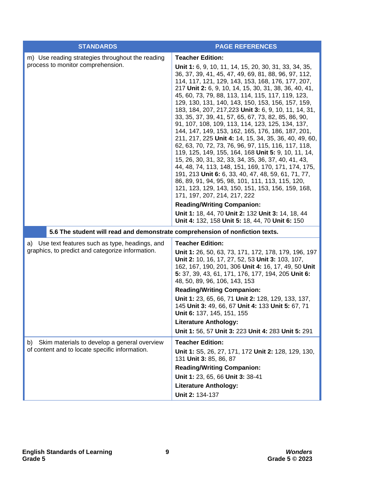| <b>STANDARDS</b>                                                                                     | <b>PAGE REFERENCES</b>                                                                                                                                                                                                                                                                                                                                                                                                                                                                                                                                                                                                                                                                                                                                                                                                                                                                                                                                                                                                                                                                                                                                                   |
|------------------------------------------------------------------------------------------------------|--------------------------------------------------------------------------------------------------------------------------------------------------------------------------------------------------------------------------------------------------------------------------------------------------------------------------------------------------------------------------------------------------------------------------------------------------------------------------------------------------------------------------------------------------------------------------------------------------------------------------------------------------------------------------------------------------------------------------------------------------------------------------------------------------------------------------------------------------------------------------------------------------------------------------------------------------------------------------------------------------------------------------------------------------------------------------------------------------------------------------------------------------------------------------|
| m) Use reading strategies throughout the reading<br>process to monitor comprehension.                | <b>Teacher Edition:</b><br>Unit 1: 6, 9, 10, 11, 14, 15, 20, 30, 31, 33, 34, 35,<br>36, 37, 39, 41, 45, 47, 49, 69, 81, 88, 96, 97, 112,<br>114, 117, 121, 129, 143, 153, 168, 176, 177, 207,<br>217 Unit 2: 6, 9, 10, 14, 15, 30, 31, 38, 36, 40, 41,<br>45, 60, 73, 79, 88, 113, 114, 115, 117, 119, 123,<br>129, 130, 131, 140, 143, 150, 153, 156, 157, 159,<br>183, 184, 207, 217, 223 Unit 3: 6, 9, 10, 11, 14, 31,<br>33, 35, 37, 39, 41, 57, 65, 67, 73, 82, 85, 86, 90,<br>91, 107, 108, 109, 113, 114, 123, 125, 134, 137,<br>144, 147, 149, 153, 162, 165, 176, 186, 187, 201,<br>211, 217, 225 Unit 4: 14, 15, 34, 35, 36, 40, 49, 60,<br>62, 63, 70, 72, 73, 76, 96, 97, 115, 116, 117, 118,<br>119, 125, 149, 155, 164, 168 Unit 5: 9, 10, 11, 14,<br>15, 26, 30, 31, 32, 33, 34, 35, 36, 37, 40, 41, 43,<br>44, 48, 74, 113, 148, 151, 169, 170, 171, 174, 175,<br>191, 213 Unit 6: 6, 33, 40, 47, 48, 59, 61, 71, 77,<br>86, 89, 91, 94, 95, 98, 101, 111, 113, 115, 120,<br>121, 123, 129, 143, 150, 151, 153, 156, 159, 168,<br>171, 197, 207, 214, 217, 222<br><b>Reading/Writing Companion:</b><br>Unit 1: 18, 44, 70 Unit 2: 132 Unit 3: 14, 18, 44 |
|                                                                                                      | Unit 4: 132, 158 Unit 5: 18, 44, 70 Unit 6: 150                                                                                                                                                                                                                                                                                                                                                                                                                                                                                                                                                                                                                                                                                                                                                                                                                                                                                                                                                                                                                                                                                                                          |
| 5.6 The student will read and demonstrate comprehension of nonfiction texts.                         |                                                                                                                                                                                                                                                                                                                                                                                                                                                                                                                                                                                                                                                                                                                                                                                                                                                                                                                                                                                                                                                                                                                                                                          |
| a) Use text features such as type, headings, and<br>graphics, to predict and categorize information. | <b>Teacher Edition:</b><br>Unit 1: 26, 50, 63, 73, 171, 172, 178, 179, 196, 197<br>Unit 2: 10, 16, 17, 27, 52, 53 Unit 3: 103, 107,<br>162, 167, 190, 201, 306 Unit 4: 16, 17, 49, 50 Unit<br>5: 37, 39, 43, 61, 171, 176, 177, 194, 205 Unit 6:<br>48, 50, 89, 96, 106, 143, 153<br><b>Reading/Writing Companion:</b><br>Unit 1: 23, 65, 66, 71 Unit 2: 128, 129, 133, 137,<br>145 Unit 3: 49, 66, 67 Unit 4: 133 Unit 5: 67, 71<br>Unit 6: 137, 145, 151, 155<br><b>Literature Anthology:</b><br>Unit 1: 56, 57 Unit 3: 223 Unit 4: 283 Unit 5: 291                                                                                                                                                                                                                                                                                                                                                                                                                                                                                                                                                                                                                    |
| Skim materials to develop a general overview<br>b)<br>of content and to locate specific information. | <b>Teacher Edition:</b><br>Unit 1: S5, 26, 27, 171, 172 Unit 2: 128, 129, 130,<br>131 Unit 3: 85, 86, 87<br><b>Reading/Writing Companion:</b><br>Unit 1: 23, 65, 66 Unit 3: 38-41<br><b>Literature Anthology:</b><br>Unit 2: 134-137                                                                                                                                                                                                                                                                                                                                                                                                                                                                                                                                                                                                                                                                                                                                                                                                                                                                                                                                     |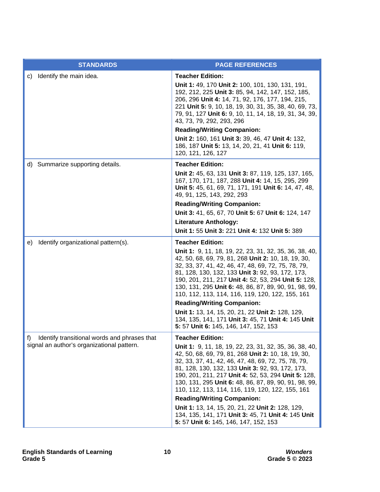|                                                                                               | <b>STANDARDS</b>                                                                                                                                                                                                                                                                                                                                                                                    | <b>PAGE REFERENCES</b>                                                                                                                                                                                                                                                                                                                                                                                                                                                                                   |
|-----------------------------------------------------------------------------------------------|-----------------------------------------------------------------------------------------------------------------------------------------------------------------------------------------------------------------------------------------------------------------------------------------------------------------------------------------------------------------------------------------------------|----------------------------------------------------------------------------------------------------------------------------------------------------------------------------------------------------------------------------------------------------------------------------------------------------------------------------------------------------------------------------------------------------------------------------------------------------------------------------------------------------------|
| C)                                                                                            | Identify the main idea.                                                                                                                                                                                                                                                                                                                                                                             | <b>Teacher Edition:</b><br>Unit 1: 49, 170 Unit 2: 100, 101, 130, 131, 191,<br>192, 212, 225 Unit 3: 85, 94, 142, 147, 152, 185,<br>206, 296 Unit 4: 14, 71, 92, 176, 177, 194, 215,<br>221 Unit 5: 9, 10, 18, 19, 30, 31, 35, 38, 40, 69, 73,<br>79, 91, 127 Unit 6: 9, 10, 11, 14, 18, 19, 31, 34, 39,<br>43, 73, 79, 292, 293, 296<br><b>Reading/Writing Companion:</b><br>Unit 2: 160, 161 Unit 3: 39, 46, 47 Unit 4: 132,<br>186, 187 Unit 5: 13, 14, 20, 21, 41 Unit 6: 119,<br>120, 121, 126, 127 |
|                                                                                               | d) Summarize supporting details.                                                                                                                                                                                                                                                                                                                                                                    | <b>Teacher Edition:</b><br>Unit 2: 45, 63, 131 Unit 3: 87, 119, 125, 137, 165,<br>167, 170, 171, 187, 288 Unit 4: 14, 15, 295, 299<br>Unit 5: 45, 61, 69, 71, 171, 191 Unit 6: 14, 47, 48,<br>49, 91, 125, 143, 292, 293<br><b>Reading/Writing Companion:</b><br>Unit 3: 41, 65, 67, 70 Unit 5: 67 Unit 6: 124, 147<br><b>Literature Anthology:</b><br>Unit 1: 55 Unit 3: 221 Unit 4: 132 Unit 5: 389                                                                                                    |
| Identify organizational pattern(s).<br>e)                                                     | <b>Teacher Edition:</b>                                                                                                                                                                                                                                                                                                                                                                             |                                                                                                                                                                                                                                                                                                                                                                                                                                                                                                          |
|                                                                                               |                                                                                                                                                                                                                                                                                                                                                                                                     | Unit 1: 9, 11, 18, 19, 22, 23, 31, 32, 35, 36, 38, 40,<br>42, 50, 68, 69, 79, 81, 268 Unit 2: 10, 18, 19, 30,<br>32, 33, 37, 41, 42, 46, 47, 48, 69, 72, 75, 78, 79,<br>81, 128, 130, 132, 133 Unit 3: 92, 93, 172, 173,<br>190, 201, 211, 217 Unit 4: 52, 53, 294 Unit 5: 128,<br>130, 131, 295 Unit 6: 48, 86, 87, 89, 90, 91, 98, 99,<br>110, 112, 113, 114, 116, 119, 120, 122, 155, 161                                                                                                             |
|                                                                                               |                                                                                                                                                                                                                                                                                                                                                                                                     | <b>Reading/Writing Companion:</b>                                                                                                                                                                                                                                                                                                                                                                                                                                                                        |
|                                                                                               |                                                                                                                                                                                                                                                                                                                                                                                                     | Unit 1: 13, 14, 15, 20, 21, 22 Unit 2: 128, 129,<br>134, 135, 141, 171 Unit 3: 45, 71 Unit 4: 145 Unit<br>5: 57 Unit 6: 145, 146, 147, 152, 153                                                                                                                                                                                                                                                                                                                                                          |
| f) Identify transitional words and phrases that<br>signal an author's organizational pattern. | <b>Teacher Edition:</b>                                                                                                                                                                                                                                                                                                                                                                             |                                                                                                                                                                                                                                                                                                                                                                                                                                                                                                          |
|                                                                                               | <b>Unit 1:</b> 9, 11, 18, 19, 22, 23, 31, 32, 35, 36, 38, 40,<br>42, 50, 68, 69, 79, 81, 268 Unit 2: 10, 18, 19, 30,<br>32, 33, 37, 41, 42, 46, 47, 48, 69, 72, 75, 78, 79,<br>81, 128, 130, 132, 133 Unit 3: 92, 93, 172, 173,<br>190, 201, 211, 217 Unit 4: 52, 53, 294 Unit 5: 128,<br>130, 131, 295 Unit 6: 48, 86, 87, 89, 90, 91, 98, 99,<br>110, 112, 113, 114, 116, 119, 120, 122, 155, 161 |                                                                                                                                                                                                                                                                                                                                                                                                                                                                                                          |
|                                                                                               |                                                                                                                                                                                                                                                                                                                                                                                                     | <b>Reading/Writing Companion:</b>                                                                                                                                                                                                                                                                                                                                                                                                                                                                        |
|                                                                                               |                                                                                                                                                                                                                                                                                                                                                                                                     | Unit 1: 13, 14, 15, 20, 21, 22 Unit 2: 128, 129,<br>134, 135, 141, 171 Unit 3: 45, 71 Unit 4: 145 Unit<br>5: 57 Unit 6: 145, 146, 147, 152, 153                                                                                                                                                                                                                                                                                                                                                          |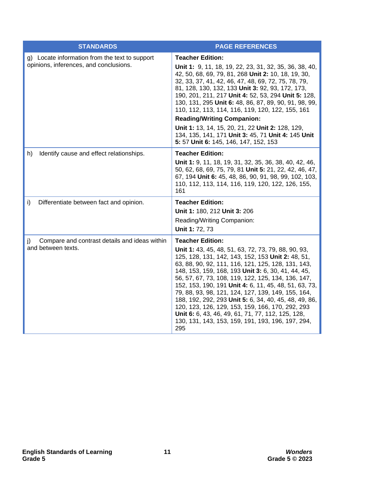| <b>STANDARDS</b>                                                                         | <b>PAGE REFERENCES</b>                                                                                                                                                                                                                                                                                                                                                                                                                                                                                                                                                                                                                             |
|------------------------------------------------------------------------------------------|----------------------------------------------------------------------------------------------------------------------------------------------------------------------------------------------------------------------------------------------------------------------------------------------------------------------------------------------------------------------------------------------------------------------------------------------------------------------------------------------------------------------------------------------------------------------------------------------------------------------------------------------------|
| g) Locate information from the text to support<br>opinions, inferences, and conclusions. | <b>Teacher Edition:</b><br>Unit 1: 9, 11, 18, 19, 22, 23, 31, 32, 35, 36, 38, 40,<br>42, 50, 68, 69, 79, 81, 268 Unit 2: 10, 18, 19, 30,<br>32, 33, 37, 41, 42, 46, 47, 48, 69, 72, 75, 78, 79,<br>81, 128, 130, 132, 133 Unit 3: 92, 93, 172, 173,<br>190, 201, 211, 217 Unit 4: 52, 53, 294 Unit 5: 128,<br>130, 131, 295 Unit 6: 48, 86, 87, 89, 90, 91, 98, 99,<br>110, 112, 113, 114, 116, 119, 120, 122, 155, 161<br><b>Reading/Writing Companion:</b><br>Unit 1: 13, 14, 15, 20, 21, 22 Unit 2: 128, 129,<br>134, 135, 141, 171 Unit 3: 45, 71 Unit 4: 145 Unit                                                                             |
|                                                                                          | 5: 57 Unit 6: 145, 146, 147, 152, 153                                                                                                                                                                                                                                                                                                                                                                                                                                                                                                                                                                                                              |
| Identify cause and effect relationships.<br>h)                                           | <b>Teacher Edition:</b><br>Unit 1: 9, 11, 18, 19, 31, 32, 35, 36, 38, 40, 42, 46,<br>50, 62, 68, 69, 75, 79, 81 Unit 5: 21, 22, 42, 46, 47,<br>67, 194 Unit 6: 45, 48, 86, 90, 91, 98, 99, 102, 103,<br>110, 112, 113, 114, 116, 119, 120, 122, 126, 155,<br>161                                                                                                                                                                                                                                                                                                                                                                                   |
| i)<br>Differentiate between fact and opinion.                                            | <b>Teacher Edition:</b><br>Unit 1: 180, 212 Unit 3: 206<br>Reading/Writing Companion:<br>Unit 1: 72, 73                                                                                                                                                                                                                                                                                                                                                                                                                                                                                                                                            |
| Compare and contrast details and ideas within<br>$\mathbf{I}$<br>and between texts.      | <b>Teacher Edition:</b><br>Unit 1: 43, 45, 48, 51, 63, 72, 73, 79, 88, 90, 93,<br>125, 128, 131, 142, 143, 152, 153 Unit 2: 48, 51,<br>63, 88, 90, 92, 111, 116, 121, 125, 128, 131, 143,<br>148, 153, 159, 168, 193 Unit 3: 6, 30, 41, 44, 45,<br>56, 57, 67, 73, 108, 119, 122, 125, 134, 136, 147,<br>152, 153, 190, 191 Unit 4: 6, 11, 45, 48, 51, 63, 73,<br>79, 88, 93, 98, 121, 124, 127, 139, 149, 155, 164,<br>188, 192, 292, 293 Unit 5: 6, 34, 40, 45, 48, 49, 86,<br>120, 123, 126, 129, 153, 159, 166, 170, 292, 293<br>Unit 6: 6, 43, 46, 49, 61, 71, 77, 112, 125, 128,<br>130, 131, 143, 153, 159, 191, 193, 196, 197, 294,<br>295 |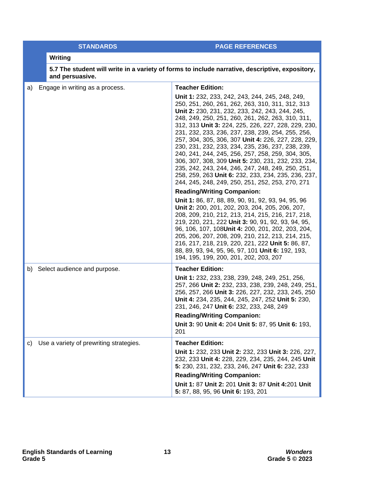| <b>STANDARDS</b> |  |
|------------------|--|
|                  |  |
|                  |  |

**PAGE REFERENCES** 

## **Writing**

|    | and persuasive.                         | 5.7 The student will write in a variety of forms to include narrative, descriptive, expository,                                                                                                                                                                                                                                                                                                                                                                                                                                                                                                                                                                                                                 |
|----|-----------------------------------------|-----------------------------------------------------------------------------------------------------------------------------------------------------------------------------------------------------------------------------------------------------------------------------------------------------------------------------------------------------------------------------------------------------------------------------------------------------------------------------------------------------------------------------------------------------------------------------------------------------------------------------------------------------------------------------------------------------------------|
| a) | Engage in writing as a process.         | <b>Teacher Edition:</b>                                                                                                                                                                                                                                                                                                                                                                                                                                                                                                                                                                                                                                                                                         |
|    |                                         | Unit 1: 232, 233, 242, 243, 244, 245, 248, 249,<br>250, 251, 260, 261, 262, 263, 310, 311, 312, 313<br>Unit 2: 230, 231, 232, 233, 242, 243, 244, 245,<br>248, 249, 250, 251, 260, 261, 262, 263, 310, 311,<br>312, 313 Unit 3: 224, 225, 226, 227, 228, 229, 230,<br>231, 232, 233, 236, 237, 238, 239, 254, 255, 256,<br>257, 304, 305, 306, 307 Unit 4: 226, 227, 228, 229,<br>230, 231, 232, 233, 234, 235, 236, 237, 238, 239,<br>240, 241, 244, 245, 256, 257, 258, 259, 304, 305,<br>306, 307, 308, 309 Unit 5: 230, 231, 232, 233, 234,<br>235, 242, 243, 244, 246, 247, 248, 249, 250, 251,<br>258, 259, 263 Unit 6: 232, 233, 234, 235, 236, 237,<br>244, 245, 248, 249, 250, 251, 252, 253, 270, 271 |
|    |                                         | <b>Reading/Writing Companion:</b>                                                                                                                                                                                                                                                                                                                                                                                                                                                                                                                                                                                                                                                                               |
|    |                                         | Unit 1: 86, 87, 88, 89, 90, 91, 92, 93, 94, 95, 96<br>Unit 2: 200, 201, 202, 203, 204, 205, 206, 207,<br>208, 209, 210, 212, 213, 214, 215, 216, 217, 218,<br>219, 220, 221, 222 Unit 3: 90, 91, 92, 93, 94, 95,<br>96, 106, 107, 108Unit 4: 200, 201, 202, 203, 204,<br>205, 206, 207, 208, 209, 210, 212, 213, 214, 215,<br>216, 217, 218, 219, 220, 221, 222 Unit 5: 86, 87,<br>88, 89, 93, 94, 95, 96, 97, 101 Unit 6: 192, 193,<br>194, 195, 199, 200, 201, 202, 203, 207                                                                                                                                                                                                                                  |
|    | b) Select audience and purpose.         | <b>Teacher Edition:</b>                                                                                                                                                                                                                                                                                                                                                                                                                                                                                                                                                                                                                                                                                         |
|    |                                         | Unit 1: 232, 233, 238, 239, 248, 249, 251, 256,<br>257, 266 Unit 2: 232, 233, 238, 239, 248, 249, 251,<br>256, 257, 266 Unit 3: 226, 227, 232, 233, 245, 250<br>Unit 4: 234, 235, 244, 245, 247, 252 Unit 5: 230,<br>231, 246, 247 Unit 6: 232, 233, 248, 249<br><b>Reading/Writing Companion:</b>                                                                                                                                                                                                                                                                                                                                                                                                              |
|    |                                         | Unit 3: 90 Unit 4: 204 Unit 5: 87, 95 Unit 6: 193,                                                                                                                                                                                                                                                                                                                                                                                                                                                                                                                                                                                                                                                              |
|    |                                         | 201                                                                                                                                                                                                                                                                                                                                                                                                                                                                                                                                                                                                                                                                                                             |
| C) | Use a variety of prewriting strategies. | <b>Teacher Edition:</b>                                                                                                                                                                                                                                                                                                                                                                                                                                                                                                                                                                                                                                                                                         |
|    |                                         | Unit 1: 232, 233 Unit 2: 232, 233 Unit 3: 226, 227,<br>232, 233 Unit 4: 228, 229, 234, 235, 244, 245 Unit<br>5: 230, 231, 232, 233, 246, 247 Unit 6: 232, 233                                                                                                                                                                                                                                                                                                                                                                                                                                                                                                                                                   |
|    |                                         | <b>Reading/Writing Companion:</b>                                                                                                                                                                                                                                                                                                                                                                                                                                                                                                                                                                                                                                                                               |
|    |                                         | Unit 1: 87 Unit 2: 201 Unit 3: 87 Unit 4:201 Unit<br>5: 87, 88, 95, 96 Unit 6: 193, 201                                                                                                                                                                                                                                                                                                                                                                                                                                                                                                                                                                                                                         |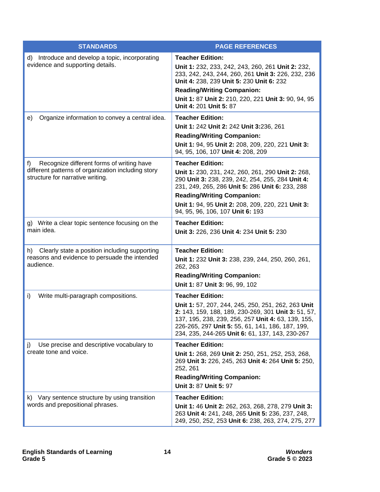| <b>STANDARDS</b>                                                                                                                          | <b>PAGE REFERENCES</b>                                                                                                                                                                                                                                                                                            |
|-------------------------------------------------------------------------------------------------------------------------------------------|-------------------------------------------------------------------------------------------------------------------------------------------------------------------------------------------------------------------------------------------------------------------------------------------------------------------|
| d) Introduce and develop a topic, incorporating<br>evidence and supporting details.                                                       | <b>Teacher Edition:</b><br>Unit 1: 232, 233, 242, 243, 260, 261 Unit 2: 232,<br>233, 242, 243, 244, 260, 261 Unit 3: 226, 232, 236<br>Unit 4: 238, 239 Unit 5: 230 Unit 6: 232<br><b>Reading/Writing Companion:</b><br>Unit 1: 87 Unit 2: 210, 220, 221 Unit 3: 90, 94, 95<br>Unit 4: 201 Unit 5: 87              |
| Organize information to convey a central idea.<br>e)                                                                                      | <b>Teacher Edition:</b><br>Unit 1: 242 Unit 2: 242 Unit 3:236, 261<br><b>Reading/Writing Companion:</b><br>Unit 1: 94, 95 Unit 2: 208, 209, 220, 221 Unit 3:<br>94, 95, 106, 107 Unit 4: 208, 209                                                                                                                 |
| Recognize different forms of writing have<br>f)<br>different patterns of organization including story<br>structure for narrative writing. | <b>Teacher Edition:</b><br>Unit 1: 230, 231, 242, 260, 261, 290 Unit 2: 268,<br>290 Unit 3: 238, 239, 242, 254, 255, 284 Unit 4:<br>231, 249, 265, 286 Unit 5: 286 Unit 6: 233, 288<br><b>Reading/Writing Companion:</b><br>Unit 1: 94, 95 Unit 2: 208, 209, 220, 221 Unit 3:<br>94, 95, 96, 106, 107 Unit 6: 193 |
| g) Write a clear topic sentence focusing on the<br>main idea.                                                                             | <b>Teacher Edition:</b><br>Unit 3: 226, 236 Unit 4: 234 Unit 5: 230                                                                                                                                                                                                                                               |
| h) Clearly state a position including supporting<br>reasons and evidence to persuade the intended<br>audience.                            | <b>Teacher Edition:</b><br>Unit 1: 232 Unit 3: 238, 239, 244, 250, 260, 261,<br>262, 263<br><b>Reading/Writing Companion:</b><br>Unit 1: 87 Unit 3: 96, 99, 102                                                                                                                                                   |
| Write multi-paragraph compositions.<br>i)                                                                                                 | <b>Teacher Edition:</b><br>Unit 1: 57, 207, 244, 245, 250, 251, 262, 263 Unit<br>2: 143, 159, 188, 189, 230-269, 301 Unit 3: 51, 57,<br>137, 195, 238, 239, 256, 257 Unit 4: 63, 139, 155,<br>226-265, 297 Unit 5: 55, 61, 141, 186, 187, 199,<br>234, 235, 244-265 Unit 6: 61, 137, 143, 230-267                 |
| Use precise and descriptive vocabulary to<br>j)<br>create tone and voice.                                                                 | <b>Teacher Edition:</b><br>Unit 1: 268, 269 Unit 2: 250, 251, 252, 253, 268,<br>269 Unit 3: 226, 245, 263 Unit 4: 264 Unit 5: 250,<br>252, 261<br><b>Reading/Writing Companion:</b><br>Unit 3: 87 Unit 5: 97                                                                                                      |
| k) Vary sentence structure by using transition<br>words and prepositional phrases.                                                        | <b>Teacher Edition:</b><br>Unit 1: 46 Unit 2: 262, 263, 268, 278, 279 Unit 3:<br>263 Unit 4: 241, 248, 265 Unit 5: 236, 237, 248,<br>249, 250, 252, 253 Unit 6: 238, 263, 274, 275, 277                                                                                                                           |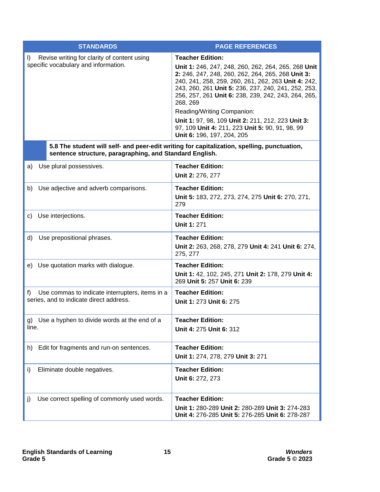| <b>STANDARDS</b>                                                                                                                                       | <b>PAGE REFERENCES</b>                                                                                                                                                                                                                                                                                                                                                                                                                                                                   |  |  |  |
|--------------------------------------------------------------------------------------------------------------------------------------------------------|------------------------------------------------------------------------------------------------------------------------------------------------------------------------------------------------------------------------------------------------------------------------------------------------------------------------------------------------------------------------------------------------------------------------------------------------------------------------------------------|--|--|--|
| Revise writing for clarity of content using<br>$\vert$<br>specific vocabulary and information.                                                         | <b>Teacher Edition:</b><br>Unit 1: 246, 247, 248, 260, 262, 264, 265, 268 Unit<br>2: 246, 247, 248, 260, 262, 264, 265, 268 Unit 3:<br>240, 241, 258, 259, 260, 261, 262, 263 Unit 4: 242,<br>243, 260, 261 Unit 5: 236, 237, 240, 241, 252, 253,<br>256, 257, 261 Unit 6: 238, 239, 242, 243, 264, 265,<br>268, 269<br>Reading/Writing Companion:<br>Unit 1: 97, 98, 109 Unit 2: 211, 212, 223 Unit 3:<br>97, 109 Unit 4: 211, 223 Unit 5: 90, 91, 98, 99<br>Unit 6: 196, 197, 204, 205 |  |  |  |
| 5.8 The student will self- and peer-edit writing for capitalization, spelling, punctuation,<br>sentence structure, paragraphing, and Standard English. |                                                                                                                                                                                                                                                                                                                                                                                                                                                                                          |  |  |  |
| Use plural possessives.<br>a)                                                                                                                          | <b>Teacher Edition:</b><br>Unit 2: 276, 277                                                                                                                                                                                                                                                                                                                                                                                                                                              |  |  |  |
| b) Use adjective and adverb comparisons.                                                                                                               | <b>Teacher Edition:</b><br>Unit 5: 183, 272, 273, 274, 275 Unit 6: 270, 271,<br>279                                                                                                                                                                                                                                                                                                                                                                                                      |  |  |  |
| c) Use interjections.                                                                                                                                  | <b>Teacher Edition:</b><br><b>Unit 1: 271</b>                                                                                                                                                                                                                                                                                                                                                                                                                                            |  |  |  |
| d)<br>Use prepositional phrases.                                                                                                                       | <b>Teacher Edition:</b><br>Unit 2: 263, 268, 278, 279 Unit 4: 241 Unit 6: 274,<br>275, 277                                                                                                                                                                                                                                                                                                                                                                                               |  |  |  |
| e) Use quotation marks with dialogue.                                                                                                                  | <b>Teacher Edition:</b><br>Unit 1: 42, 102, 245, 271 Unit 2: 178, 279 Unit 4:<br>269 Unit 5: 257 Unit 6: 239                                                                                                                                                                                                                                                                                                                                                                             |  |  |  |
| Use commas to indicate interrupters, items in a<br>f)<br>series, and to indicate direct address.                                                       | <b>Teacher Edition:</b><br>Unit 1: 273 Unit 6: 275                                                                                                                                                                                                                                                                                                                                                                                                                                       |  |  |  |
| g) Use a hyphen to divide words at the end of a<br>line.                                                                                               | <b>Teacher Edition:</b><br>Unit 4: 275 Unit 6: 312                                                                                                                                                                                                                                                                                                                                                                                                                                       |  |  |  |
| Edit for fragments and run-on sentences.<br>h)                                                                                                         | <b>Teacher Edition:</b><br>Unit 1: 274, 278, 279 Unit 3: 271                                                                                                                                                                                                                                                                                                                                                                                                                             |  |  |  |
| i)<br>Eliminate double negatives.                                                                                                                      | <b>Teacher Edition:</b><br>Unit 6: 272, 273                                                                                                                                                                                                                                                                                                                                                                                                                                              |  |  |  |
| Use correct spelling of commonly used words.<br>j)                                                                                                     | <b>Teacher Edition:</b><br>Unit 1: 280-289 Unit 2: 280-289 Unit 3: 274-283<br>Unit 4: 276-285 Unit 5: 276-285 Unit 6: 278-287                                                                                                                                                                                                                                                                                                                                                            |  |  |  |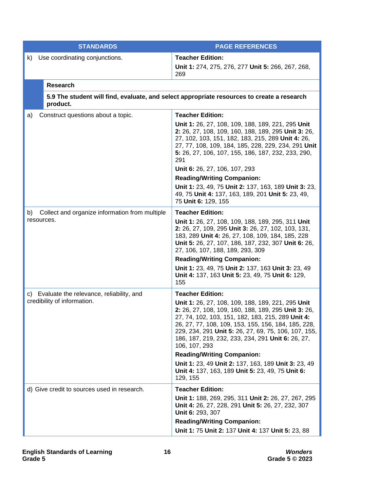| <b>STANDARDS</b>                                                           | <b>PAGE REFERENCES</b>                                                                                                                                                                                                                                                                                                                                                                                                                                                                                                                    |  |
|----------------------------------------------------------------------------|-------------------------------------------------------------------------------------------------------------------------------------------------------------------------------------------------------------------------------------------------------------------------------------------------------------------------------------------------------------------------------------------------------------------------------------------------------------------------------------------------------------------------------------------|--|
| Use coordinating conjunctions.<br>k)                                       | <b>Teacher Edition:</b><br>Unit 1: 274, 275, 276, 277 Unit 5: 266, 267, 268,<br>269                                                                                                                                                                                                                                                                                                                                                                                                                                                       |  |
| <b>Research</b>                                                            |                                                                                                                                                                                                                                                                                                                                                                                                                                                                                                                                           |  |
| product.                                                                   | 5.9 The student will find, evaluate, and select appropriate resources to create a research                                                                                                                                                                                                                                                                                                                                                                                                                                                |  |
| Construct questions about a topic.<br>a)                                   | <b>Teacher Edition:</b><br>Unit 1: 26, 27, 108, 109, 188, 189, 221, 295 Unit<br>2: 26, 27, 108, 109, 160, 188, 189, 295 Unit 3: 26,<br>27, 102, 103, 151, 182, 183, 215, 289 Unit 4: 26,<br>27, 77, 108, 109, 184, 185, 228, 229, 234, 291 Unit<br>5: 26, 27, 106, 107, 155, 186, 187, 232, 233, 290,<br>291<br>Unit 6: 26, 27, 106, 107, 293<br><b>Reading/Writing Companion:</b><br>Unit 1: 23, 49, 75 Unit 2: 137, 163, 189 Unit 3: 23,<br>49, 75 Unit 4: 137, 163, 189, 201 Unit 5: 23, 49,<br>75 Unit 6: 129, 155                    |  |
| Collect and organize information from multiple<br>b)<br>resources.         | <b>Teacher Edition:</b><br>Unit 1: 26, 27, 108, 109, 188, 189, 295, 311 Unit<br>2: 26, 27, 109, 295 Unit 3: 26, 27, 102, 103, 131,<br>183, 289 Unit 4: 26, 27, 108, 109, 184, 185, 228<br>Unit 5: 26, 27, 107, 186, 187, 232, 307 Unit 6: 26,<br>27, 106, 107, 188, 189, 293, 309<br><b>Reading/Writing Companion:</b><br>Unit 1: 23, 49, 75 Unit 2: 137, 163 Unit 3: 23, 49<br>Unit 4: 137, 163 Unit 5: 23, 49, 75 Unit 6: 129,<br>155                                                                                                   |  |
| c) Evaluate the relevance, reliability, and<br>credibility of information. | <b>Teacher Edition:</b><br>Unit 1: 26, 27, 108, 109, 188, 189, 221, 295 Unit<br>2: 26, 27, 108, 109, 160, 188, 189, 295 Unit 3: 26,<br>27, 74, 102, 103, 151, 182, 183, 215, 289 Unit 4:<br>26, 27, 77, 108, 109, 153, 155, 156, 184, 185, 228,<br>229, 234, 291 Unit 5: 26, 27, 69, 75, 106, 107, 155,<br>186, 187, 219, 232, 233, 234, 291 Unit 6: 26, 27,<br>106, 107, 293<br><b>Reading/Writing Companion:</b><br>Unit 1: 23, 49 Unit 2: 137, 163, 189 Unit 3: 23, 49<br>Unit 4: 137, 163, 189 Unit 5: 23, 49, 75 Unit 6:<br>129, 155 |  |
| d) Give credit to sources used in research.                                | <b>Teacher Edition:</b><br>Unit 1: 188, 269, 295, 311 Unit 2: 26, 27, 267, 295<br>Unit 4: 26, 27, 228, 291 Unit 5: 26, 27, 232, 307<br>Unit 6: 293, 307<br><b>Reading/Writing Companion:</b>                                                                                                                                                                                                                                                                                                                                              |  |
|                                                                            | Unit 1: 75 Unit 2: 137 Unit 4: 137 Unit 5: 23, 88                                                                                                                                                                                                                                                                                                                                                                                                                                                                                         |  |